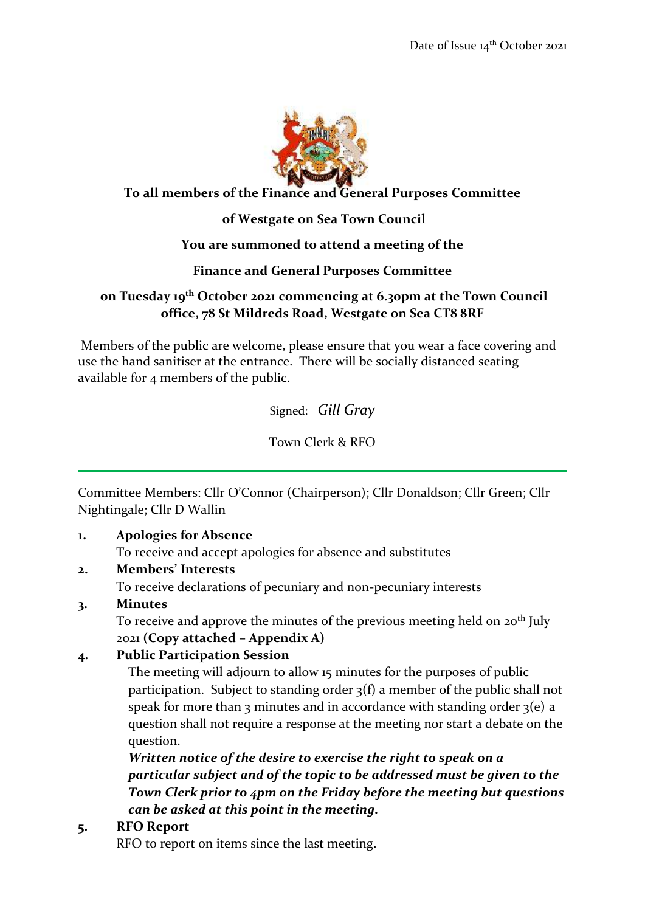

#### **To all members of the Finance and General Purposes Committee**

## **of Westgate on Sea Town Council**

#### **You are summoned to attend a meeting of the**

## **Finance and General Purposes Committee**

## **on Tuesday 19th October 2021 commencing at 6.30pm at the Town Council office, 78 St Mildreds Road, Westgate on Sea CT8 8RF**

Members of the public are welcome, please ensure that you wear a face covering and use the hand sanitiser at the entrance. There will be socially distanced seating available for 4 members of the public.

Signed: *Gill Gray*

Town Clerk & RFO

Committee Members: Cllr O'Connor (Chairperson); Cllr Donaldson; Cllr Green; Cllr Nightingale; Cllr D Wallin

#### **1. Apologies for Absence**

To receive and accept apologies for absence and substitutes

#### **2. Members' Interests**

To receive declarations of pecuniary and non-pecuniary interests

#### **3. Minutes**

To receive and approve the minutes of the previous meeting held on  $20<sup>th</sup>$  July 2021 **(Copy attached – Appendix A)**

# **4. Public Participation Session**

The meeting will adjourn to allow 15 minutes for the purposes of public participation. Subject to standing order 3(f) a member of the public shall not speak for more than 3 minutes and in accordance with standing order  $3(e)$  a question shall not require a response at the meeting nor start a debate on the question.

*Written notice of the desire to exercise the right to speak on a particular subject and of the topic to be addressed must be given to the Town Clerk prior to 4pm on the Friday before the meeting but questions can be asked at this point in the meeting.*

# **5. RFO Report**

RFO to report on items since the last meeting.